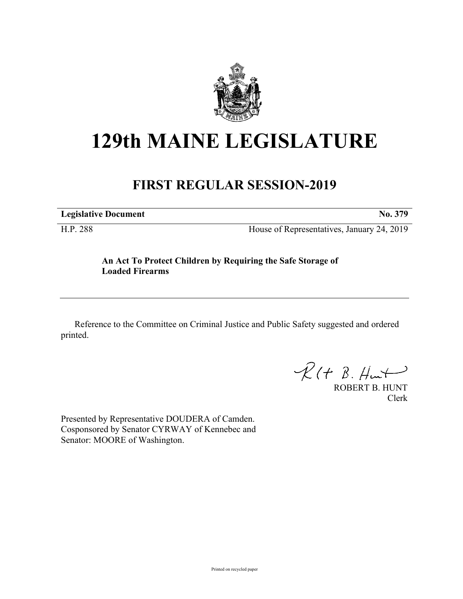

## **129th MAINE LEGISLATURE**

## **FIRST REGULAR SESSION-2019**

**Legislative Document No. 379**

H.P. 288 House of Representatives, January 24, 2019

## **An Act To Protect Children by Requiring the Safe Storage of Loaded Firearms**

Reference to the Committee on Criminal Justice and Public Safety suggested and ordered printed.

 $\mathcal{R}(t \; \mathcal{B}, \#m)$ 

ROBERT B. HUNT Clerk

Presented by Representative DOUDERA of Camden. Cosponsored by Senator CYRWAY of Kennebec and Senator: MOORE of Washington.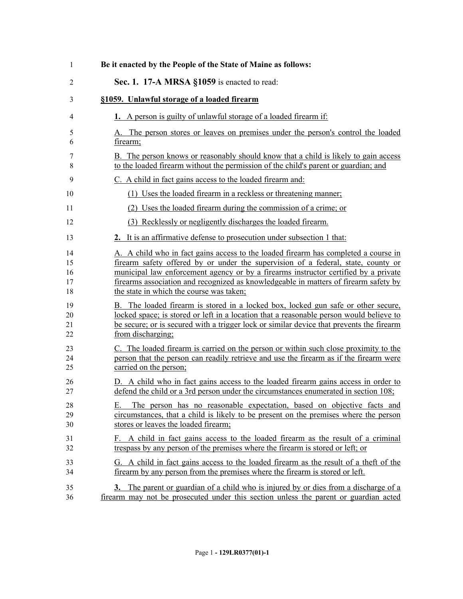| 1                          | Be it enacted by the People of the State of Maine as follows:                                                                                                                                                                                                                                                                                                                                       |
|----------------------------|-----------------------------------------------------------------------------------------------------------------------------------------------------------------------------------------------------------------------------------------------------------------------------------------------------------------------------------------------------------------------------------------------------|
| $\overline{2}$             | Sec. 1. 17-A MRSA §1059 is enacted to read:                                                                                                                                                                                                                                                                                                                                                         |
| 3                          | §1059. Unlawful storage of a loaded firearm                                                                                                                                                                                                                                                                                                                                                         |
| 4                          | <b>1.</b> A person is guilty of unlawful storage of a loaded firearm if:                                                                                                                                                                                                                                                                                                                            |
| 5<br>6                     | A. The person stores or leaves on premises under the person's control the loaded<br>firearm;                                                                                                                                                                                                                                                                                                        |
| 7<br>8                     | B. The person knows or reasonably should know that a child is likely to gain access<br>to the loaded firearm without the permission of the child's parent or guardian; and                                                                                                                                                                                                                          |
| 9                          | C. A child in fact gains access to the loaded firearm and:                                                                                                                                                                                                                                                                                                                                          |
| 10                         | (1) Uses the loaded firearm in a reckless or threatening manner;                                                                                                                                                                                                                                                                                                                                    |
| 11                         | (2) Uses the loaded firearm during the commission of a crime; or                                                                                                                                                                                                                                                                                                                                    |
| 12                         | (3) Recklessly or negligently discharges the loaded firearm.                                                                                                                                                                                                                                                                                                                                        |
| 13                         | 2. It is an affirmative defense to prosecution under subsection 1 that:                                                                                                                                                                                                                                                                                                                             |
| 14<br>15<br>16<br>17<br>18 | A. A child who in fact gains access to the loaded firearm has completed a course in<br>firearm safety offered by or under the supervision of a federal, state, county or<br>municipal law enforcement agency or by a firearms instructor certified by a private<br>firearms association and recognized as knowledgeable in matters of firearm safety by<br>the state in which the course was taken; |
| 19<br>20<br>21<br>22       | B. The loaded firearm is stored in a locked box, locked gun safe or other secure,<br>locked space; is stored or left in a location that a reasonable person would believe to<br>be secure; or is secured with a trigger lock or similar device that prevents the firearm<br>from discharging;                                                                                                       |
| 23<br>24<br>25             | C. The loaded firearm is carried on the person or within such close proximity to the<br>person that the person can readily retrieve and use the firearm as if the firearm were<br>carried on the person;                                                                                                                                                                                            |
| 26<br>27                   | D. A child who in fact gains access to the loaded firearm gains access in order to<br>defend the child or a 3rd person under the circumstances enumerated in section 108;                                                                                                                                                                                                                           |
| 28<br>29<br>30             | The person has no reasonable expectation, based on objective facts and<br>Е.<br>circumstances, that a child is likely to be present on the premises where the person<br>stores or leaves the loaded firearm;                                                                                                                                                                                        |
| 31<br>32                   | F. A child in fact gains access to the loaded firearm as the result of a criminal<br>trespass by any person of the premises where the firearm is stored or left; or                                                                                                                                                                                                                                 |
| 33<br>34                   | G. A child in fact gains access to the loaded firearm as the result of a theft of the<br>firearm by any person from the premises where the firearm is stored or left.                                                                                                                                                                                                                               |
| 35<br>36                   | 3. The parent or guardian of a child who is injured by or dies from a discharge of a<br>firearm may not be prosecuted under this section unless the parent or guardian acted                                                                                                                                                                                                                        |